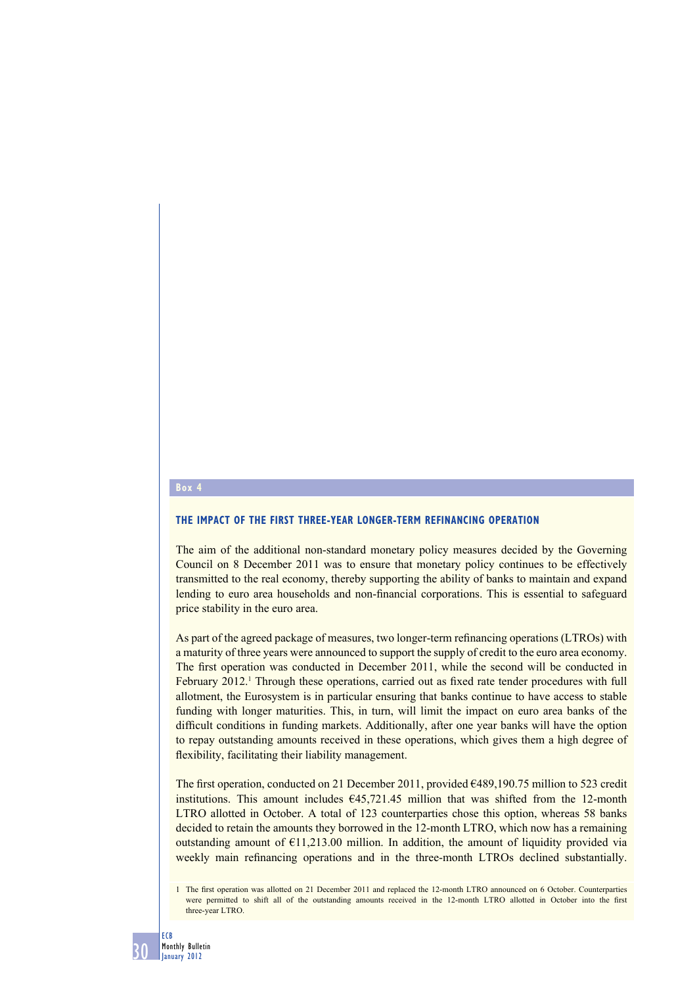## **Box 4**

## **THE IMPACT OF THE FIRST THREE-YEAR LONGER-TERM REFINANCING OPERATION**

The aim of the additional non-standard monetary policy measures decided by the Governing Council on 8 December 2011 was to ensure that monetary policy continues to be effectively transmitted to the real economy, thereby supporting the ability of banks to maintain and expand lending to euro area households and non-financial corporations. This is essential to safeguard price stability in the euro area.

As part of the agreed package of measures, two longer-term refinancing operations (LTROs) with a maturity of three years were announced to support the supply of credit to the euro area economy. The first operation was conducted in December 2011, while the second will be conducted in February 2012.<sup>1</sup> Through these operations, carried out as fixed rate tender procedures with full allotment, the Eurosystem is in particular ensuring that banks continue to have access to stable funding with longer maturities. This, in turn, will limit the impact on euro area banks of the difficult conditions in funding markets. Additionally, after one year banks will have the option to repay outstanding amounts received in these operations, which gives them a high degree of flexibility, facilitating their liability management.

The first operation, conducted on 21 December 2011, provided €489,190.75 million to 523 credit institutions. This amount includes  $645,721.45$  million that was shifted from the 12-month LTRO allotted in October. A total of 123 counterparties chose this option, whereas 58 banks decided to retain the amounts they borrowed in the 12-month LTRO, which now has a remaining outstanding amount of  $E11,213.00$  million. In addition, the amount of liquidity provided via weekly main refinancing operations and in the three-month LTROs declined substantially.

<sup>1</sup> The first operation was allotted on 21 December 2011 and replaced the 12-month LTRO announced on 6 October. Counterparties were permitted to shift all of the outstanding amounts received in the 12-month LTRO allotted in October into the first three-year LTRO.